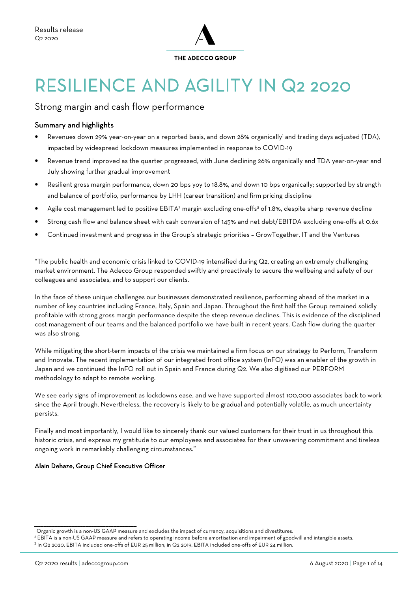

# RESILIENCE AND AGILITY IN Q2 2020

### Strong margin and cash flow performance

#### Summary and highlights

 $\overline{a}$ 

- Revenues down 29% year-on-year on a reported basis, and down 28% organically<sup>1</sup> and trading days adjusted (TDA), impacted by widespread lockdown measures implemented in response to COVID-19
- Revenue trend improved as the quarter progressed, with June declining 26% organically and TDA year-on-year and July showing further gradual improvement
- Resilient gross margin performance, down 20 bps yoy to 18.8%, and down 10 bps organically; supported by strength and balance of portfolio, performance by LHH (career transition) and firm pricing discipline
- $\bullet$  Agile cost management led to positive EBITA<sup>2</sup> margin excluding one-offs<sup>3</sup> of 1.8%, despite sharp revenue decline
- Strong cash flow and balance sheet with cash conversion of 145% and net debt/EBITDA excluding one-offs at 0.6x
- Continued investment and progress in the Group's strategic priorities GrowTogether, IT and the Ventures

"The public health and economic crisis linked to COVID-19 intensified during Q2, creating an extremely challenging market environment. The Adecco Group responded swiftly and proactively to secure the wellbeing and safety of our colleagues and associates, and to support our clients.

In the face of these unique challenges our businesses demonstrated resilience, performing ahead of the market in a number of key countries including France, Italy, Spain and Japan. Throughout the first half the Group remained solidly profitable with strong gross margin performance despite the steep revenue declines. This is evidence of the disciplined cost management of our teams and the balanced portfolio we have built in recent years. Cash flow during the quarter was also strong.

While mitigating the short-term impacts of the crisis we maintained a firm focus on our strategy to Perform, Transform and Innovate. The recent implementation of our integrated front office system (InFO) was an enabler of the growth in Japan and we continued the InFO roll out in Spain and France during Q2. We also digitised our PERFORM methodology to adapt to remote working.

We see early signs of improvement as lockdowns ease, and we have supported almost 100,000 associates back to work since the April trough. Nevertheless, the recovery is likely to be gradual and potentially volatile, as much uncertainty persists.

Finally and most importantly, I would like to sincerely thank our valued customers for their trust in us throughout this historic crisis, and express my gratitude to our employees and associates for their unwavering commitment and tireless ongoing work in remarkably challenging circumstances."

#### Alain Dehaze, Group Chief Executive Officer

\_\_\_\_\_\_\_\_\_\_\_\_\_\_\_\_\_\_\_\_\_\_\_\_\_\_\_\_\_\_\_\_\_\_\_\_\_\_\_\_\_\_\_\_\_\_\_\_\_\_\_\_\_\_\_\_\_\_\_\_\_\_\_\_\_\_

<sup>&</sup>lt;sup>1</sup> Organic growth is a non-US GAAP measure and excludes the impact of currency, acquisitions and divestitures.

<sup>2</sup> EBITA is a non-US GAAP measure and refers to operating income before amortisation and impairment of goodwill and intangible assets.

<sup>&</sup>lt;sup>3</sup> In Q2 2020, EBITA included one-offs of EUR 25 million; in Q2 2019, EBITA included one-offs of EUR 24 million.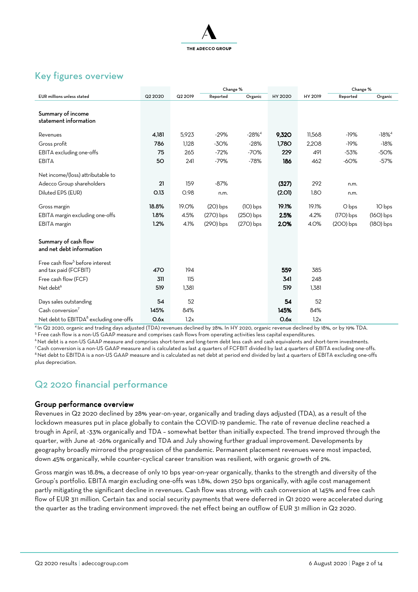

## Key figures overview

|                                                    |         | Change % |             |             |                |         | Change %    |             |
|----------------------------------------------------|---------|----------|-------------|-------------|----------------|---------|-------------|-------------|
| <b>EUR</b> millions unless stated                  | Q2 2020 | Q2 2019  | Reported    | Organic     | <b>HY 2020</b> | HY 2019 | Reported    | Organic     |
| Summary of income                                  |         |          |             |             |                |         |             |             |
| statement information                              |         |          |             |             |                |         |             |             |
| Revenues                                           | 4,181   | 5,923    | $-29%$      | $-28%^{4}$  | 9,320          | 11,568  | $-19%$      | $-18%^{4}$  |
| Gross profit                                       | 786     | 1,128    | $-30%$      | $-28%$      | 1,780          | 2,208   | $-19%$      | $-18%$      |
| EBITA excluding one-offs                           | 75      | 265      | $-72%$      | $-70%$      | 229            | 491     | $-53%$      | $-50%$      |
| <b>EBITA</b>                                       | 50      | 241      | $-79%$      | $-78%$      | 186            | 462     | $-60%$      | $-57%$      |
| Net income/(loss) attributable to                  |         |          |             |             |                |         |             |             |
| Adecco Group shareholders                          | 21      | 159      | $-87%$      |             | (327)          | 292     | n.m.        |             |
| Diluted EPS (EUR)                                  | O.13    | O.98     | n.m.        |             | (2.01)         | 1.8O    | n.m.        |             |
| Gross margin                                       | 18.8%   | 19.0%    | $(2O)$ bps  | $(10)$ bps  | 19.1%          | 19.1%   | O bps       | 10 bps      |
| EBITA margin excluding one-offs                    | 1.8%    | 4.5%     | $(27O)$ bps | $(25O)$ bps | 2.5%           | 4.2%    | $(17O)$ bps | $(16O)$ bps |
| EBITA margin                                       | 1.2%    | 4.1%     | $(290)$ bps | $(27O)$ bps | 2.0%           | 4.0%    | $(200)$ bps | $(18O)$ bps |
|                                                    |         |          |             |             |                |         |             |             |
| Summary of cash flow<br>and net debt information   |         |          |             |             |                |         |             |             |
|                                                    |         |          |             |             |                |         |             |             |
| Free cash flow <sup>5</sup> before interest        |         |          |             |             |                |         |             |             |
| and tax paid (FCFBIT)                              | 470     | 194      |             |             | 559            | 385     |             |             |
| Free cash flow (FCF)                               | 311     | 115      |             |             | 341            | 248     |             |             |
| Net debt <sup>6</sup>                              | 519     | 1,381    |             |             | 519            | 1,381   |             |             |
| Days sales outstanding                             | 54      | 52       |             |             | 54             | 52      |             |             |
| Cash conversion <sup>7</sup>                       | 145%    | 84%      |             |             | 145%           | 84%     |             |             |
| Net debt to EBITDA <sup>8</sup> excluding one-offs | O.6x    | 1.2x     |             |             | O.6x           | 1.2x    |             |             |

<sup>4</sup>In Q2 2020, organic and trading days adjusted (TDA) revenues declined by 28%. In HY 2020, organic revenue declined by 18%, or by 19% TDA. <sup>5</sup> Free cash flow is a non-US GAAP measure and comprises cash flows from operating activities less capital expenditures.

<sup>6</sup> Net debt is a non-US GAAP measure and comprises short-term and long-term debt less cash and cash equivalents and short-term investments. <sup>7</sup> Cash conversion is a non-US GAAP measure and is calculated as last 4 quarters of FCFBIT divided by last 4 quarters of EBITA excluding one-offs. <sup>8</sup> Net debt to EBITDA is a non-US GAAP measure and is calculated as net debt at period end divided by last 4 quarters of EBITA excluding one-offs plus depreciation.

## Q2 2020 financial performance

#### Group performance overview

Revenues in Q2 2020 declined by 28% year-on-year, organically and trading days adjusted (TDA), as a result of the lockdown measures put in place globally to contain the COVID-19 pandemic. The rate of revenue decline reached a trough in April, at -33% organically and TDA – somewhat better than initially expected. The trend improved through the quarter, with June at -26% organically and TDA and July showing further gradual improvement. Developments by geography broadly mirrored the progression of the pandemic. Permanent placement revenues were most impacted, down 45% organically, while counter-cyclical career transition was resilient, with organic growth of 2%.

Gross margin was 18.8%, a decrease of only 10 bps year-on-year organically, thanks to the strength and diversity of the Group's portfolio. EBITA margin excluding one-offs was 1.8%, down 250 bps organically, with agile cost management partly mitigating the significant decline in revenues. Cash flow was strong, with cash conversion at 145% and free cash flow of EUR 311 million. Certain tax and social security payments that were deferred in Q1 2020 were accelerated during the quarter as the trading environment improved: the net effect being an outflow of EUR 31 million in Q2 2020.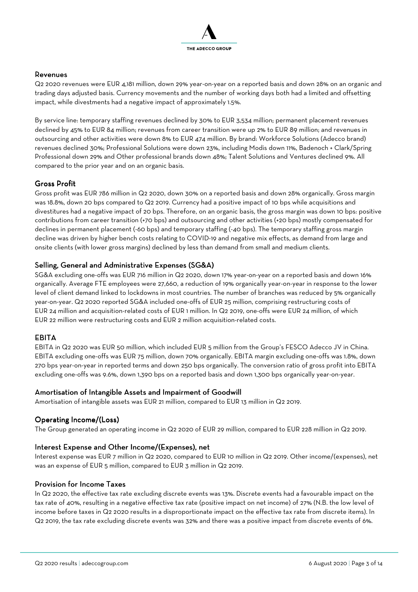

#### Revenues Revenues

Q2 2020 revenues were EUR 4,181 million, down 29% year-on-year on a reported basis and down 28% on an organic and trading days adjusted basis. Currency movements and the number of working days both had a limited and offsetting impact, while divestments had a negative impact of approximately 1.5%.

By service line: temporary staffing revenues declined by 30% to EUR 3,534 million; permanent placement revenues declined by 45% to EUR 84 million; revenues from career transition were up 2% to EUR 89 million; and revenues in outsourcing and other activities were down 8% to EUR 474 million. By brand: Workforce Solutions (Adecco brand) revenues declined 30%; Professional Solutions were down 23%, including Modis down 11%, Badenoch + Clark/Spring Professional down 29% and Other professional brands down 48%; Talent Solutions and Ventures declined 9%. All compared to the prior year and on an organic basis.

#### Gross Profit

Gross profit was EUR 786 million in Q2 2020, down 30% on a reported basis and down 28% organically. Gross margin was 18.8%, down 20 bps compared to Q2 2019. Currency had a positive impact of 10 bps while acquisitions and divestitures had a negative impact of 20 bps. Therefore, on an organic basis, the gross margin was down 10 bps: positive contributions from career transition (+70 bps) and outsourcing and other activities (+20 bps) mostly compensated for declines in permanent placement (-60 bps) and temporary staffing (-40 bps). The temporary staffing gross margin decline was driven by higher bench costs relating to COVID-19 and negative mix effects, as demand from large and onsite clients (with lower gross margins) declined by less than demand from small and medium clients.

#### Selling, General and Administrative Expenses (SG&A)

SG&A excluding one-offs was EUR 716 million in Q2 2020, down 17% year-on-year on a reported basis and down 16% organically. Average FTE employees were 27,660, a reduction of 19% organically year-on-year in response to the lower level of client demand linked to lockdowns in most countries. The number of branches was reduced by 5% organically year-on-year. Q2 2020 reported SG&A included one-offs of EUR 25 million, comprising restructuring costs of EUR 24 million and acquisition-related costs of EUR 1 million. In Q2 2019, one-offs were EUR 24 million, of which EUR 22 million were restructuring costs and EUR 2 million acquisition-related costs.

#### EBITA

EBITA in Q2 2020 was EUR 50 million, which included EUR 5 million from the Group's FESCO Adecco JV in China. EBITA excluding one-offs was EUR 75 million, down 70% organically. EBITA margin excluding one-offs was 1.8%, down 270 bps year-on-year in reported terms and down 250 bps organically. The conversion ratio of gross profit into EBITA excluding one-offs was 9.6%, down 1,390 bps on a reported basis and down 1,300 bps organically year-on-year.

#### Amortisation of Intangible Assets and Impairment of Goodwill

Amortisation of intangible assets was EUR 21 million, compared to EUR 13 million in Q2 2019.

#### Operating Income/(Loss)

The Group generated an operating income in Q2 2020 of EUR 29 million, compared to EUR 228 million in Q2 2019.

#### Interest Expense and Other Income/(Expenses), net

Interest expense was EUR 7 million in Q2 2020, compared to EUR 10 million in Q2 2019. Other income/(expenses), net was an expense of EUR 5 million, compared to EUR 3 million in Q2 2019.

#### Provision for Income Taxes

In Q2 2020, the effective tax rate excluding discrete events was 13%. Discrete events had a favourable impact on the tax rate of 40%, resulting in a negative effective tax rate (positive impact on net income) of 27% (N.B. the low level of income before taxes in Q2 2020 results in a disproportionate impact on the effective tax rate from discrete items). In Q2 2019, the tax rate excluding discrete events was 32% and there was a positive impact from discrete events of 6%.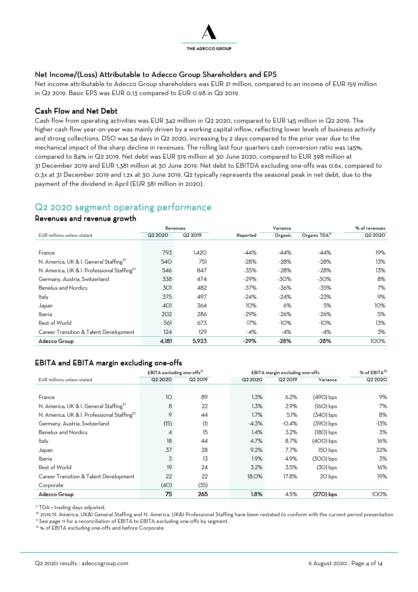

#### Net Income/(Loss) Attributable to Adecco Group Shareholders and EPS

Net income attributable to Adecco Group shareholders was EUR 21 million, compared to an income of EUR 159 million in Q2 2019. Basic EPS was EUR 0.13 compared to EUR 0.98 in Q2 2019.

#### Cash Flow and Net Debt

Cash flow from operating activities was EUR 342 million in Q2 2020, compared to EUR 145 million in Q2 2019. The higher cash flow year-on-year was mainly driven by a working capital inflow, reflecting lower levels of business activity and strong collections. DSO was 54 days in Q2 2020, increasing by 2 days compared to the prior year due to the mechanical impact of the sharp decline in revenues. The rolling last four quarters cash conversion ratio was 145%, compared to 84% in Q2 2019. Net debt was EUR 519 million at 30 June 2020, compared to EUR 398 million at 31 December 2019 and EUR 1,381 million at 30 June 2019. Net debt to EBITDA excluding one-offs was 0.6x, compared to 0.3x at 31 December 2019 and 1.2x at 30 June 2019. Q2 typically represents the seasonal peak in net debt, due to the payment of the dividend in April (EUR 381 million in 2020).

### Q2 2020 segment operating performance

#### Revenues and revenue growth

|                                                         | Revenues |         | Variance |         |                          | % of revenues |
|---------------------------------------------------------|----------|---------|----------|---------|--------------------------|---------------|
| EUR millions unless stated                              | Q2 2020  | Q2 2019 | Reported | Organic | Organic TDA <sup>9</sup> | Q2 2020       |
|                                                         |          |         |          |         |                          |               |
| France                                                  | 793      | 1.420   | $-44%$   | $-44%$  | $-44%$                   | 19%           |
| N. America, UK & I. General Staffing <sup>10</sup>      | 540      | 751     | $-28%$   | $-28%$  | $-28%$                   | 13%           |
| N. America, UK & I. Professional Staffing <sup>10</sup> | 546      | 847     | $-35%$   | $-28%$  | $-28%$                   | 13%           |
| Germany, Austria, Switzerland                           | 338      | 474     | $-29%$   | $-30%$  | $-30%$                   | 8%            |
| <b>Benelux and Nordics</b>                              | 301      | 482     | $-37%$   | $-36%$  | $-35%$                   | 7%            |
| Italy                                                   | 375      | 497     | $-24%$   | $-24%$  | $-23%$                   | 9%            |
| Japan                                                   | 401      | 364     | 10%      | 6%      | 5%                       | 10%           |
| Iberia                                                  | 202      | 286     | $-29%$   | $-26%$  | $-26%$                   | 5%            |
| Rest of World                                           | 561      | 673     | $-17%$   | $-10%$  | $-10%$                   | 13%           |
| Career Transition & Talent Development                  | 124      | 129     | -4%      | -4%     | -4%                      | 3%            |
| Adecco Group                                            | 4,181    | 5,923   | $-29%$   | $-28%$  | $-28%$                   | 100%          |

#### EBITA and EBITA margin excluding one-offs

|                                                         | EBITA excluding one-offs <sup>11</sup><br>EBITA margin excluding one-offs |         |              |         |             | % of EBITA <sup>12</sup> |
|---------------------------------------------------------|---------------------------------------------------------------------------|---------|--------------|---------|-------------|--------------------------|
| EUR millions unless stated                              | Q2 2020                                                                   | Q2 2019 | Q2 2020      | Q2 2019 | Variance    | Q2 2020                  |
|                                                         |                                                                           |         |              |         |             |                          |
| France                                                  | 10                                                                        | 89      | 1.3%         | 6.2%    | $(490)$ bps | 9%                       |
| N. America, UK & I. General Staffing <sup>10</sup>      | 8                                                                         | 22      | 1.3%         | 2.9%    | $(16O)$ bps | 7%                       |
| N. America, UK & I. Professional Staffing <sup>10</sup> | 9                                                                         | 44      | 1.7%         | 5.1%    | $(340)$ bps | 8%                       |
| Germany, Austria, Switzerland                           | (15)                                                                      | (1)     | $-4.3%$      | $-0.4%$ | $(390)$ bps | -13%                     |
| <b>Benelux and Nordics</b>                              | 4                                                                         | 15      | 1.4%         | 3.2%    | $(18O)$ bps | 3%                       |
| Italy                                                   | 18                                                                        | 44      | 4.7%         | 8.7%    | $(400)$ bps | 16%                      |
| Japan                                                   | 37                                                                        | 28      | 9.2%         | 7.7%    | 150 bps     | 32%                      |
| Iberia                                                  | 3                                                                         | 13      | 1.9%         | 4.9%    | $(300)$ bps | 3%                       |
| Rest of World                                           | 19                                                                        | 24      | 3.2%         | 3.5%    | $(30)$ bps  | 16%                      |
| Career Transition & Talent Development                  | 22                                                                        | 22      | <b>18.0%</b> | 17.8%   | 20 bps      | 19%                      |
| Corporate                                               | (4O)                                                                      | (35)    |              |         |             |                          |
| Adecco Group                                            | 75                                                                        | 265     | 1.8%         | 4.5%    | $(27O)$ bps | 100%                     |

9 TDA = trading days adjusted.

<sup>10</sup> 2019 N. America, UK&I General Staffing and N. America, UK&I Professional Staffing have been restated to conform with the current period presentation <sup>11</sup> See page 11 for a reconciliation of EBITA to EBITA excluding one-offs by segment.

<sup>12</sup> % of EBITA excluding one-offs and before Corporate.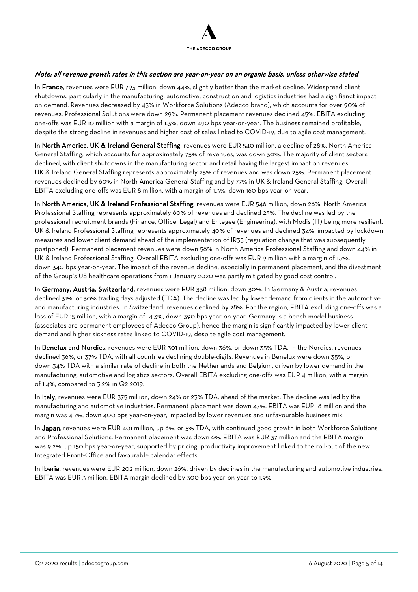

#### Note: all revenue growth rates in this section are year-on-year on an organic basis, unless otherwise stated

In France, revenues were EUR 793 million, down 44%, slightly better than the market decline. Widespread client shutdowns, particularly in the manufacturing, automotive, construction and logistics industries had a signifianct impact on demand. Revenues decreased by 45% in Workforce Solutions (Adecco brand), which accounts for over 90% of revenues. Professional Solutions were down 29%. Permanent placement revenues declined 45%. EBITA excluding one-offs was EUR 10 million with a margin of 1.3%, down 490 bps year-on-year. The business remained profitable, despite the strong decline in revenues and higher cost of sales linked to COVID-19, due to agile cost management.

In North America, UK & Ireland General Staffing, revenues were EUR 540 million, a decline of 28%. North America General Staffing, which accounts for approximately 75% of revenues, was down 30%. The majority of client sectors declined, with client shutdowns in the manufacturing sector and retail having the largest impact on revenues. UK & Ireland General Staffing represents approximately 25% of revenues and was down 25%. Permanent placement revenues declined by 60% in North America General Staffing and by 77% in UK & Ireland General Staffing. Overall EBITA excluding one-offs was EUR 8 million, with a margin of 1.3%, down 160 bps year-on-year.

In North America, UK & Ireland Professional Staffing, revenues were EUR 546 million, down 28%. North America Professional Staffing represents approximately 60% of revenues and declined 25%. The decline was led by the professional recruitment brands (Finance, Office, Legal) and Entegee (Engineering), with Modis (IT) being more resilient. UK & Ireland Professional Staffing represents approximately 40% of revenues and declined 34%, impacted by lockdown measures and lower client demand ahead of the implementation of IR35 (regulation change that was subsequently postponed). Permanent placement revenues were down 58% in North America Professional Staffing and down 44% in UK & Ireland Professional Staffing. Overall EBITA excluding one-offs was EUR 9 million with a margin of 1.7%, down 340 bps year-on-year. The impact of the revenue decline, especially in permanent placement, and the divestment of the Group's US healthcare operations from 1 January 2020 was partly mitigated by good cost control.

In Germany, Austria, Switzerland, revenues were EUR 338 million, down 30%. In Germany & Austria, revenues declined 31%, or 30% trading days adjusted (TDA). The decline was led by lower demand from clients in the automotive and manufacturing industries. In Switzerland, revenues declined by 28%. For the region, EBITA excluding one-offs was a loss of EUR 15 million, with a margin of -4.3%, down 390 bps year-on-year. Germany is a bench model business (associates are permanent employees of Adecco Group), hence the margin is significantly impacted by lower client demand and higher sickness rates linked to COVID-19, despite agile cost management.

In Benelux and Nordics, revenues were EUR 301 million, down 36%, or down 35% TDA. In the Nordics, revenues declined 36%, or 37% TDA, with all countries declining double-digits. Revenues in Benelux were down 35%, or down 34% TDA with a similar rate of decline in both the Netherlands and Belgium, driven by lower demand in the manufacturing, automotive and logistics sectors. Overall EBITA excluding one-offs was EUR 4 million, with a margin of 1.4%, compared to 3.2% in Q2 2019.

In Italy, revenues were EUR 375 million, down 24% or 23% TDA, ahead of the market. The decline was led by the manufacturing and automotive industries. Permanent placement was down 47%. EBITA was EUR 18 million and the margin was 4.7%, down 400 bps year-on-year, impacted by lower revenues and unfavourable business mix.

In Japan, revenues were EUR 401 million, up 6%, or 5% TDA, with continued good growth in both Workforce Solutions and Professional Solutions. Permanent placement was down 6%. EBITA was EUR 37 million and the EBITA margin was 9.2%, up 150 bps year-on-year, supported by pricing, productivity improvement linked to the roll-out of the new Integrated Front-Office and favourable calendar effects.

In Iberia, revenues were EUR 202 million, down 26%, driven by declines in the manufacturing and automotive industries. EBITA was EUR 3 million. EBITA margin declined by 300 bps year-on-year to 1.9%.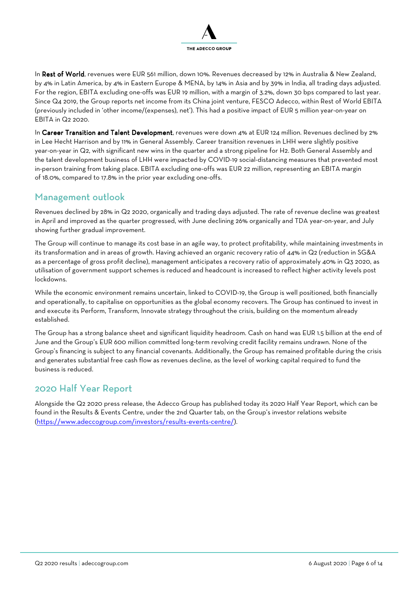

In Rest of World, revenues were EUR 561 million, down 10%. Revenues decreased by 12% in Australia & New Zealand, by 4% in Latin America, by 4% in Eastern Europe & MENA, by 14% in Asia and by 39% in India, all trading days adjusted. For the region, EBITA excluding one-offs was EUR 19 million, with a margin of 3.2%, down 30 bps compared to last year. Since Q4 2019, the Group reports net income from its China joint venture, FESCO Adecco, within Rest of World EBITA (previously included in 'other income/(expenses), net'). This had a positive impact of EUR 5 million year-on-year on EBITA in Q2 2020.

In Career Transition and Talent Development, revenues were down 4% at EUR 124 million. Revenues declined by 2% in Lee Hecht Harrison and by 11% in General Assembly. Career transition revenues in LHH were slightly positive year-on-year in Q2, with significant new wins in the quarter and a strong pipeline for H2. Both General Assembly and the talent development business of LHH were impacted by COVID-19 social-distancing measures that prevented most in-person training from taking place. EBITA excluding one-offs was EUR 22 million, representing an EBITA margin of 18.0%, compared to 17.8% in the prior year excluding one-offs.

## Management outlook

Revenues declined by 28% in Q2 2020, organically and trading days adjusted. The rate of revenue decline was greatest in April and improved as the quarter progressed, with June declining 26% organically and TDA year-on-year, and July showing further gradual improvement.

The Group will continue to manage its cost base in an agile way, to protect profitability, while maintaining investments in its transformation and in areas of growth. Having achieved an organic recovery ratio of 44% in Q2 (reduction in SG&A as a percentage of gross profit decline), management anticipates a recovery ratio of approximately 40% in Q3 2020, as utilisation of government support schemes is reduced and headcount is increased to reflect higher activity levels post lockdowns.

While the economic environment remains uncertain, linked to COVID-19, the Group is well positioned, both financially and operationally, to capitalise on opportunities as the global economy recovers. The Group has continued to invest in and execute its Perform, Transform, Innovate strategy throughout the crisis, building on the momentum already established.

The Group has a strong balance sheet and significant liquidity headroom. Cash on hand was EUR 1.5 billion at the end of June and the Group's EUR 600 million committed long-term revolving credit facility remains undrawn. None of the Group's financing is subject to any financial covenants. Additionally, the Group has remained profitable during the crisis and generates substantial free cash flow as revenues decline, as the level of working capital required to fund the business is reduced.

## 2020 Half Year Report

Alongside the Q2 2020 press release, the Adecco Group has published today its 2020 Half Year Report, which can be found in the Results & Events Centre, under the 2nd Quarter tab, on the Group's investor relations website (https://www.adeccogroup.com/investors/results-events-centre/).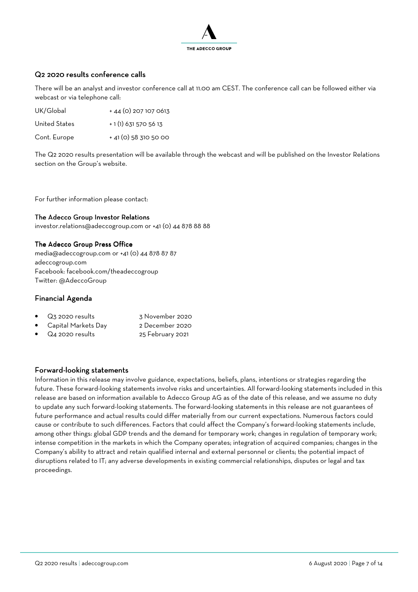

#### Q2 2020 results conference calls

There will be an analyst and investor conference call at 11.00 am CEST. The conference call can be followed either via webcast or via telephone call:

| UK/Global     | + 44 (0) 207 107 0613 |
|---------------|-----------------------|
| United States | $+1(1)$ 631 570 56 13 |

Cont. Europe  $+41(0)$  58 310 50 00

The Q2 2020 results presentation will be available through the webcast and will be published on the Investor Relations section on the Group's website.

For further information please contact:

#### The Adecco Group Investor Relations

investor.relations@adeccogroup.com or +41 (0) 44 878 88 88

#### The Adecco Group Press Office

media@adeccogroup.com or +41 (0) 44 878 87 87 adeccogroup.com Facebook: facebook.com/theadeccogroup Twitter: @AdeccoGroup

#### Financial Agenda

| $\bullet$ Q3 2020 results | 3 November 2020  |
|---------------------------|------------------|
| • Capital Markets Day     | 2 December 2020  |
| $\bullet$ Q4 2020 results | 25 February 2021 |

#### Forward-looking statements

Information in this release may involve guidance, expectations, beliefs, plans, intentions or strategies regarding the future. These forward-looking statements involve risks and uncertainties. All forward-looking statements included in this release are based on information available to Adecco Group AG as of the date of this release, and we assume no duty to update any such forward-looking statements. The forward-looking statements in this release are not guarantees of future performance and actual results could differ materially from our current expectations. Numerous factors could cause or contribute to such differences. Factors that could affect the Company's forward-looking statements include, among other things: global GDP trends and the demand for temporary work; changes in regulation of temporary work; intense competition in the markets in which the Company operates; integration of acquired companies; changes in the Company's ability to attract and retain qualified internal and external personnel or clients; the potential impact of disruptions related to IT; any adverse developments in existing commercial relationships, disputes or legal and tax proceedings.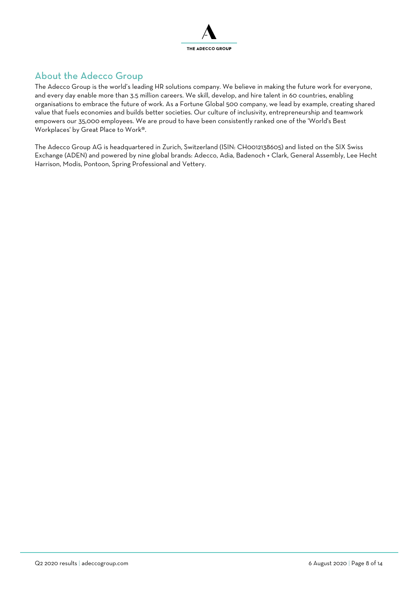

## About the Adecco Group

The Adecco Group is the world's leading HR solutions company. We believe in making the future work for everyone, and every day enable more than 3.5 million careers. We skill, develop, and hire talent in 60 countries, enabling organisations to embrace the future of work. As a Fortune Global 500 company, we lead by example, creating shared value that fuels economies and builds better societies. Our culture of inclusivity, entrepreneurship and teamwork empowers our 35,000 employees. We are proud to have been consistently ranked one of the 'World's Best Workplaces' by Great Place to Work®.

The Adecco Group AG is headquartered in Zurich, Switzerland (ISIN: CH0012138605) and listed on the SIX Swiss Exchange (ADEN) and powered by nine global brands: Adecco, Adia, Badenoch + Clark, General Assembly, Lee Hecht Harrison, Modis, Pontoon, Spring Professional and Vettery.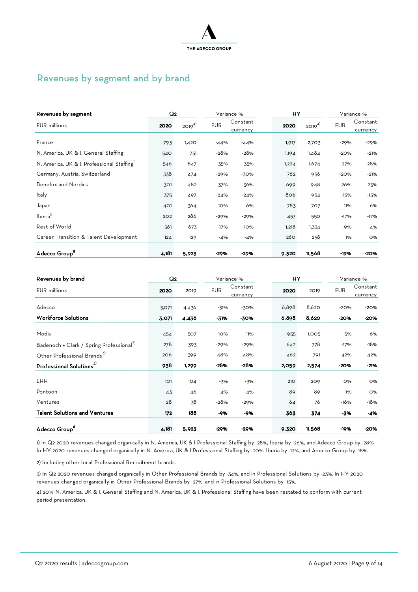

## Revenues by segment and by brand

| Revenues by segment                                     | Q <sub>2</sub> |            |            | Variance %           | HY    |            |            | Variance %           |
|---------------------------------------------------------|----------------|------------|------------|----------------------|-------|------------|------------|----------------------|
| <b>EUR</b> millions                                     | 2020           | $2019^{4}$ | <b>EUR</b> | Constant<br>currency | 2020  | $2019^{4}$ | <b>EUR</b> | Constant<br>currency |
| France                                                  | 793            | 1,420      | $-44%$     | $-44%$               | 1,917 | 2,703      | $-29%$     | $-29%$               |
| N. America, UK & I. General Staffing                    | 540            | 751        | $-28%$     | $-28%$               | 1,194 | 1,484      | $-20%$     | $-21%$               |
| N. America, UK & I. Professional Staffing <sup>17</sup> | 546            | 847        | -35%       | $-35%$               | 1,224 | 1,674      | $-27%$     | $-28%$               |
| Germany, Austria, Switzerland                           | 338            | 474        | $-29%$     | $-30%$               | 762   | 956        | $-20%$     | $-21%$               |
| <b>Benelux and Nordics</b>                              | 301            | 482        | $-37%$     | $-36%$               | 699   | 948        | $-26%$     | $-25%$               |
| Italy                                                   | 375            | 497        | $-24%$     | $-24%$               | 806   | 954        | $-15%$     | $-15%$               |
| Japan                                                   | 401            | 364        | 10%        | 6%                   | 783   | 707        | 11%        | 6%                   |
| lberia <sup>1)</sup>                                    | 202            | 286        | $-29%$     | $-29%$               | 457   | 550        | $-17%$     | $-17%$               |
| Rest of World                                           | 561            | 673        | $-17%$     | $-10%$               | 1,218 | 1,334      | $-9%$      | $-4%$                |
| Career Transition & Talent Development                  | 124            | 129        | -4%        | $-4%$                | 260   | 258        | 1%         | O%                   |
| Adecco Group <sup>1</sup>                               | 4,181          | 5,923      | $-29%$     | $-29%$               | 9,320 | 11,568     | -19%       | $-20%$               |

| Revenues by brand                                    | Q <sub>2</sub> |       |            | Variance %           | HY    |        |            | Variance %           |
|------------------------------------------------------|----------------|-------|------------|----------------------|-------|--------|------------|----------------------|
| <b>EUR</b> millions                                  | 2020           | 2019  | <b>EUR</b> | Constant<br>currency | 2020  | 2019   | <b>EUR</b> | Constant<br>currency |
| Adecco                                               | 3,071          | 4,436 | $-31%$     | $-30%$               | 6,898 | 8,620  | $-20%$     | $-20%$               |
| <b>Workforce Solutions</b>                           | 3,071          | 4,436 | $-31%$     | $-30%$               | 6,898 | 8,620  | $-20%$     | $-20%$               |
| Modis                                                | 454            | 507   | $-10%$     | $-11%$               | 955   | 1,005  | $-5%$      | -6%                  |
| Badenoch + Clark / Spring Professional <sup>2)</sup> | 278            | 393   | $-29%$     | $-29%$               | 642   | 778    | $-17%$     | $-18%$               |
| Other Professional Brands <sup>3)</sup>              | 206            | 399   | $-48%$     | $-48%$               | 462   | 791    | $-42%$     | $-42%$               |
| Professional Solutions <sup>3)</sup>                 | 938            | 1,299 | $-28%$     | $-28%$               | 2,059 | 2,574  | $-20%$     | $-21%$               |
| <b>LHH</b>                                           | 101            | 104   | $-3%$      | $-3%$                | 210   | 209    | <b>O%</b>  | O%                   |
| Pontoon                                              | 43             | 46    | $-4%$      | $-4%$                | 89    | 89     | 1%         | <b>O%</b>            |
| Ventures                                             | 28             | 38    | $-28%$     | $-29%$               | 64    | 76     | $-16%$     | -18%                 |
| <b>Talent Solutions and Ventures</b>                 | 172            | 188   | -9%        | -9%                  | 363   | 374    | -3%        | $-4%$                |
| Adecco Group"                                        | 4,181          | 5,923 | $-29%$     | $-29%$               | 9,320 | 11,568 | -19%       | $-20%$               |

1) In Q2 2020 revenues changed organically in N. America, UK & I Professional Staffing by -28%, Iberia by -26%, and Adecco Group by -28%. In HY 2020 revenues changed organically in N. America, UK & I Professional Staffing by -20%, Iberia by -12%, and Adecco Group by -18%.

2) Including other local Professional Recruitment brands.

3) In Q2 2020 revenues changed organically in Other Professional Brands by -34%, and in Professional Solutions by -23%. In HY 2020 revenues changed organically in Other Professional Brands by -27%, and in Professional Solutions by -15%.

4) 2019 N. America, UK & I. General Staffing and N. America, UK & I. Professional Staffing have been restated to conform with current period presentation.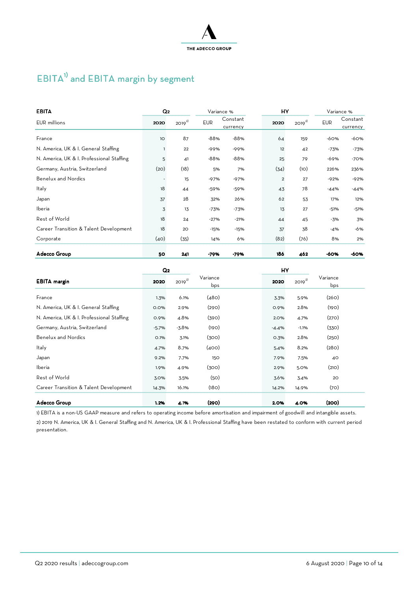

## EBITA<sup>1)</sup> and EBITA margin by segment

| <b>EBITA</b>                              | Q <sub>2</sub> |            |            | Variance %           | HY             |            |            | Variance %           |
|-------------------------------------------|----------------|------------|------------|----------------------|----------------|------------|------------|----------------------|
| <b>EUR</b> millions                       | 2020           | $2019^{2}$ | <b>EUR</b> | Constant<br>currency | 2020           | $2019^{2}$ | <b>EUR</b> | Constant<br>currency |
| France                                    | 1O             | 87         | $-88%$     | $-88%$               | 64             | 159        | $-60%$     | -60%                 |
| N. America, UK & I. General Staffing      |                | 22         | $-99%$     | $-99%$               | 12             | 42         | $-73%$     | $-73%$               |
| N. America, UK & I. Professional Staffing | 5              | 41         | $-88%$     | $-88%$               | 25             | 79         | $-69%$     | $-70%$               |
| Germany, Austria, Switzerland             | (2O)           | (18)       | 5%         | 7%                   | (34)           | (10)       | 226%       | 236%                 |
| <b>Benelux and Nordics</b>                |                | 15         | $-97%$     | $-97%$               | $\overline{2}$ | 27         | $-92%$     | $-92%$               |
| Italy                                     | 18             | 44         | $-59%$     | $-59%$               | 43             | 78         | $-44%$     | $-44%$               |
| Japan                                     | 37             | 28         | 32%        | 26%                  | 62             | 53         | 17%        | 12%                  |
| Iberia                                    | 3              | 13         | $-73%$     | $-73%$               | 13             | 27         | $-51%$     | $-51%$               |
| Rest of World                             | 18             | 24         | $-27%$     | $-21%$               | 44             | 45         | -3%        | 3%                   |
| Career Transition & Talent Development    | 18             | 20         | $-15%$     | $-15%$               | 37             | 38         | $-4%$      | $-6%$                |
| Corporate                                 | (40)           | (35)       | 14%        | 6%                   | (82)           | (76)       | 8%         | 2%                   |
| Adecco Group                              | 50             | 241        | -79%       | -79%                 | 186            | 462        | -60%       | -60%                 |

|                                           | Q <sub>2</sub> |            |                 | HY      |            |                 |  |
|-------------------------------------------|----------------|------------|-----------------|---------|------------|-----------------|--|
| <b>EBITA</b> margin                       | 2020           | $2019^{2}$ | Variance<br>bps | 2020    | $2019^{2}$ | Variance<br>bps |  |
| France                                    | 1.3%           | 6.1%       | (480)           | 3.3%    | 5.9%       | (260)           |  |
| N. America, UK & I. General Staffing      | 0.0%           | 2.9%       | (290)           | 0.9%    | 2.8%       | (190)           |  |
| N. America, UK & I. Professional Staffing | 0.9%           | 4.8%       | (390)           | 2.0%    | 4.7%       | (270)           |  |
| Germany, Austria, Switzerland             | $-5.7%$        | $-3.8%$    | (190)           | $-4.4%$ | $-1.1%$    | (330)           |  |
| <b>Benelux and Nordics</b>                | $O.I\%$        | 3.1%       | (300)           | 0.3%    | 2.8%       | (250)           |  |
| Italy                                     | 4.7%           | 8.7%       | (400)           | 5.4%    | 8.2%       | (280)           |  |
| Japan                                     | 9.2%           | 7.7%       | 150             | 7.9%    | 7.5%       | 40              |  |
| Iberia                                    | 1.9%           | 4.9%       | (300)           | 2.9%    | 5.0%       | (210)           |  |
| Rest of World                             | 3.0%           | 3.5%       | (50)            | 3.6%    | 3.4%       | 20              |  |
| Career Transition & Talent Development    | 14.3%          | 16.1%      | (180)           | 14.2%   | 14.9%      | (70)            |  |
| Adecco Group                              | 1.2%           | 4.1%       | (290)           | 2.0%    | 4.0%       | (200)           |  |

1) EBITA is a non-US GAAP measure and refers to operating income before amortisation and impairment of goodwill and intangible assets. 2) 2019 N. America, UK & I. General Staffing and N. America, UK & I. Professional Staffing have been restated to conform with current period presentation.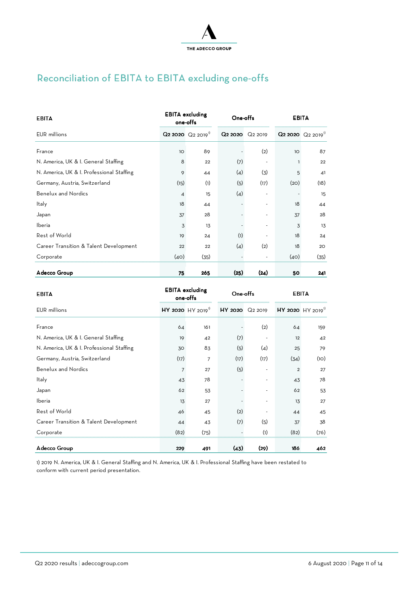

## Reconciliation of EBITA to EBITA excluding one-offs

| <b>EBITA</b>                              |                 | <b>EBITA</b> excluding<br>one-offs            | One-offs<br><b>EBITA</b> |      |      |                                               |
|-------------------------------------------|-----------------|-----------------------------------------------|--------------------------|------|------|-----------------------------------------------|
| EUR millions                              |                 | $Q$ 2 2020 $Q$ <sub>2 2019</sub> <sup>1</sup> | Q2 2020 Q2 2019          |      |      | $Q$ 2 2020 $Q$ <sub>2 2019</sub> <sup>1</sup> |
| France                                    | 10 <sup>°</sup> | 89                                            |                          | (2)  | 1O   | 87                                            |
| N. America, UK & I. General Staffing      | 8               | 22                                            | (7)                      |      |      | 22                                            |
| N. America, UK & I. Professional Staffing | 9               | 44                                            | (4)                      | (3)  | 5    | 41                                            |
| Germany, Austria, Switzerland             | (15)            | (1)                                           | (5)                      | (17) | (2O) | (18)                                          |
| <b>Benelux and Nordics</b>                | 4               | 15                                            | (4)                      |      |      | 15                                            |
| Italy                                     | 18              | 44                                            |                          |      | 18   | 44                                            |
| Japan                                     | 37              | 28                                            |                          |      | 37   | 28                                            |
| Iberia                                    | 3               | 13                                            |                          |      | 3    | 13                                            |
| Rest of World                             | 19              | 24                                            | (1)                      |      | 18   | 24                                            |
| Career Transition & Talent Development    | 22              | 22                                            | (4)                      | (2)  | 18   | 20                                            |
| Corporate                                 | (40)            | (35)                                          |                          |      | (40) | (35)                                          |
| Adecco Group                              | 75              | 265                                           | (25)                     | (24) | 50   | 241                                           |

| <b>EBITA</b>                              |                | <b>EBITA</b> excluding<br>one-offs |                 | One offs<br>EBITA        |                |                                   |
|-------------------------------------------|----------------|------------------------------------|-----------------|--------------------------|----------------|-----------------------------------|
| <b>EUR</b> millions                       |                | $HY$ 2020 HY 2019 <sup>1</sup>     | HY 2020 Q2 2019 |                          |                | $HY$ 2020 $HY$ 2019 <sup>11</sup> |
| France                                    | 64             | 161                                |                 | (2)                      | 64             | 159                               |
| N. America, UK & I. General Staffing      | 19             | 42                                 | (7)             |                          | 12             | 42                                |
| N. America, UK & I. Professional Staffing | 30             | 83                                 | (5)             | (4)                      | 25             | 79                                |
| Germany, Austria, Switzerland             | (17)           | 7                                  | (17)            | (17)                     | (34)           | (10)                              |
| <b>Benelux and Nordics</b>                | $\overline{7}$ | 27                                 | (5)             |                          | $\overline{2}$ | 27                                |
| Italy                                     | 43             | 78                                 |                 | $\overline{\phantom{a}}$ | 43             | 78                                |
| Japan                                     | 62             | 53                                 |                 |                          | 62             | 53                                |
| Iberia                                    | 13             | 27                                 |                 |                          | 13             | 27                                |
| Rest of World                             | 46             | 45                                 | (2)             |                          | 44             | 45                                |
| Career Transition & Talent Development    | 44             | 43                                 | (7)             | (5)                      | 37             | 38                                |
| Corporate                                 | (82)           | (75)                               |                 | (1)                      | (82)           | (76)                              |
| Adecco Group                              | 229            | 491                                | (43)            | (29)                     | 186            | 462                               |

1) 2019 N. America, UK & I. General Staffing and N. America, UK & I. Professional Staffing have been restated to conform with current period presentation.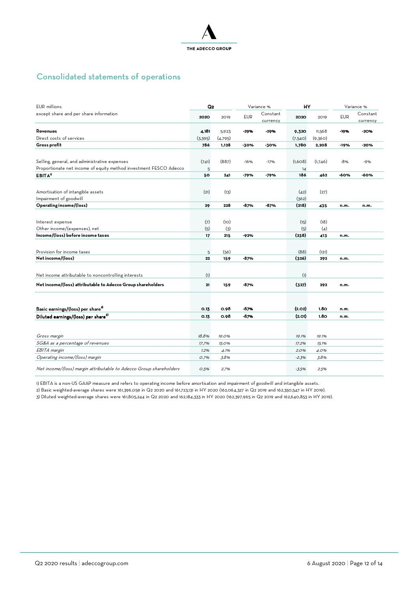

## Consolidated statements of operations

| <b>EUR</b> millions                                                | Q <sub>2</sub> |         | Variance % |                      | HY      |         | Variance % |                      |
|--------------------------------------------------------------------|----------------|---------|------------|----------------------|---------|---------|------------|----------------------|
| except share and per share information                             | 2020           | 2019    | <b>EUR</b> | Constant<br>currency | 2020    | 2019    | <b>EUR</b> | Constant<br>currency |
| Revenues                                                           | 4,181          | 5,923   | $-29%$     | $-29%$               | 9,320   | 11,568  | -19%       | $-20%$               |
| Direct costs of services                                           | (3,395)        | (4,795) |            |                      | (7,540) | (9,360) |            |                      |
| Gross profit                                                       | 786            | 1,128   | -30%       | -30%                 | 1,780   | 2,208   | -19%       | -20%                 |
|                                                                    |                |         |            |                      |         |         |            |                      |
| Selling, general, and administrative expenses                      | (741)          | (887)   | $-16%$     | $-17%$               | (1,608) | (1,746) | -8%        | $-9%$                |
| Proportionate net income of equity method investment FESCO Adecco  | 5              |         |            |                      | 14      |         |            |                      |
| EBITA <sup>1</sup>                                                 | 50             | 241     | -79%       | -79%                 | 186     | 462     | -60%       | -60%                 |
|                                                                    |                |         |            |                      |         |         |            |                      |
| Amortisation of intangible assets                                  | (21)           | (13)    |            |                      | (42)    | (27)    |            |                      |
| Impairment of goodwill                                             |                |         |            |                      | (362)   |         |            |                      |
| Operating income/(loss)                                            | 29             | 228     | -87%       | -87%                 | (218)   | 435     | n.m.       | n.m.                 |
|                                                                    |                |         |            |                      |         |         |            |                      |
|                                                                    |                |         |            |                      |         |         |            |                      |
| Interest expense                                                   | (7)            | (10)    |            |                      | (15)    | (18)    |            |                      |
| Other income/(expenses), net                                       | (5)            | (3)     |            |                      | (5)     | (4)     |            |                      |
| Income/(loss) before income taxes                                  | 17             | 215     | -92%       |                      | (238)   | 413     | n.m.       |                      |
|                                                                    |                |         |            |                      |         |         |            |                      |
| Provision for income taxes                                         | 5              | (56)    |            |                      | (88)    | (121)   |            |                      |
| Net income/(loss)                                                  | 22             | 159     | -87%       |                      | (326)   | 292     | n.m.       |                      |
|                                                                    |                |         |            |                      |         |         |            |                      |
| Net income attributable to noncontrolling interests                | (1)            |         |            |                      | (1)     |         |            |                      |
| Net income/(loss) attributable to Adecco Group shareholders        | 21             | 159     | -87%       |                      | (327)   | 292     | n.m.       |                      |
|                                                                    |                |         |            |                      |         |         |            |                      |
| Basic earnings/(loss) per share <sup>2</sup>                       | 0.13           | 0.98    | -87%       |                      | (2.02)  | 1.80    | n.m.       |                      |
| Diluted earnings/(loss) per share <sup>3)</sup>                    | 0.13           | 0.98    | -87%       |                      | (2.01)  | 1.80    | n.m.       |                      |
|                                                                    |                |         |            |                      |         |         |            |                      |
| Gross margin                                                       | 18.8%          | 19.0%   |            |                      | 19.1%   | 19.1%   |            |                      |
| SG&A as a percentage of revenues                                   | 17.7%          | 15.0%   |            |                      | 17.2%   | 15.1%   |            |                      |
| EBITA margin                                                       | 1.2%           | 4.1%    |            |                      | 2.0%    | 4.0%    |            |                      |
| Operating income/(loss) margin                                     | O.7%           | 3.8%    |            |                      | $-2.3%$ | 3.8%    |            |                      |
| Net income/(loss) margin attributable to Adecco Group shareholders | O.5%           | 2.7%    |            |                      | $-3.5%$ | 2.5%    |            |                      |

1) EBITA is a non-US GAAP measure and refers to operating income before amortisation and impairment of goodwill and intangible assets.

2) Basic weighted-average shares were 161,396,059 in Q2 2020 and 161,723,131 in HY 2020 (162,064,327 in Q2 2019 and 162,350,547 in HY 2019).

3) Diluted weighted-average shares were 161,805,244 in Q2 2020 and 162,184,333 in HY 2020 (162,397,965 in Q2 2019 and 162,640,853 in HY 2019).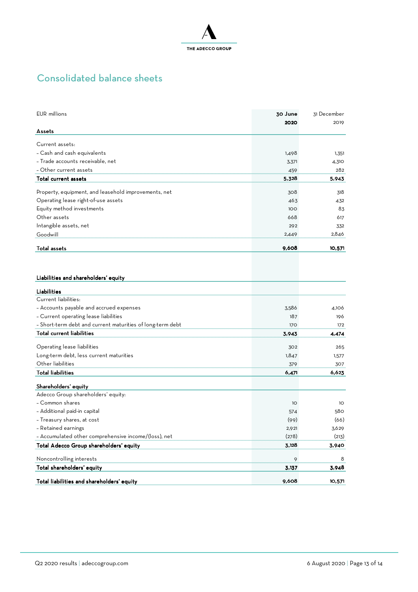

## Consolidated balance sheets

| EUR millions                                               | 30 June<br>2020 | 31 December<br>2019 |
|------------------------------------------------------------|-----------------|---------------------|
| Assets                                                     |                 |                     |
| Current assets:                                            |                 |                     |
| - Cash and cash equivalents                                | 1,498           | 1,351               |
| - Trade accounts receivable, net                           | 3,371           | 4,310               |
| - Other current assets                                     | 459             | 282                 |
| Total current assets                                       | 5,328           | 5,943               |
| Property, equipment, and leasehold improvements, net       | 308             | 318                 |
| Operating lease right-of-use assets                        | 463             | 432                 |
| Equity method investments                                  | 100             | 83                  |
| Other assets                                               | 668             | 617                 |
| Intangible assets, net                                     | 292             | 332                 |
| Goodwill                                                   | 2,449           | 2,846               |
|                                                            |                 |                     |
| Total assets                                               | 9,608           | 10,571              |
|                                                            |                 |                     |
| Liabilities and shareholders' equity                       |                 |                     |
| Liabilities                                                |                 |                     |
| Current liabilities:                                       |                 |                     |
| - Accounts payable and accrued expenses                    | 3,586           | 4,106               |
| - Current operating lease liabilities                      | 187             | 196                 |
| - Short-term debt and current maturities of long-term debt | 170             | 172                 |
| <b>Total current liabilities</b>                           | 3,943           | 4,474               |
|                                                            |                 |                     |
| Operating lease liabilities                                | 302             | 265                 |
| Long-term debt, less current maturities                    | 1,847           | 1,577               |
| Other liabilities                                          | 379             | 307                 |
| <b>Total liabilities</b>                                   | 6,471           | 6,623               |
| Shareholders' equity                                       |                 |                     |
| Adecco Group shareholders' equity:                         |                 |                     |
| - Common shares                                            | 1O              | 10                  |
| - Additional paid-in capital                               | 574             | 580                 |
| - Treasury shares, at cost                                 | (99)            | (66)                |
| - Retained earnings                                        | 2,921           | 3,629               |
| - Accumulated other comprehensive income/(loss), net       | (278)           | (213)               |
| Total Adecco Group shareholders' equity                    | 3,128           | 3,940               |
| Noncontrolling interests                                   | 9               | 8                   |
| Total shareholders' equity                                 | 3,137           | 3,948               |
| Total liabilities and shareholders' equity                 | 9,608           | 10,571              |